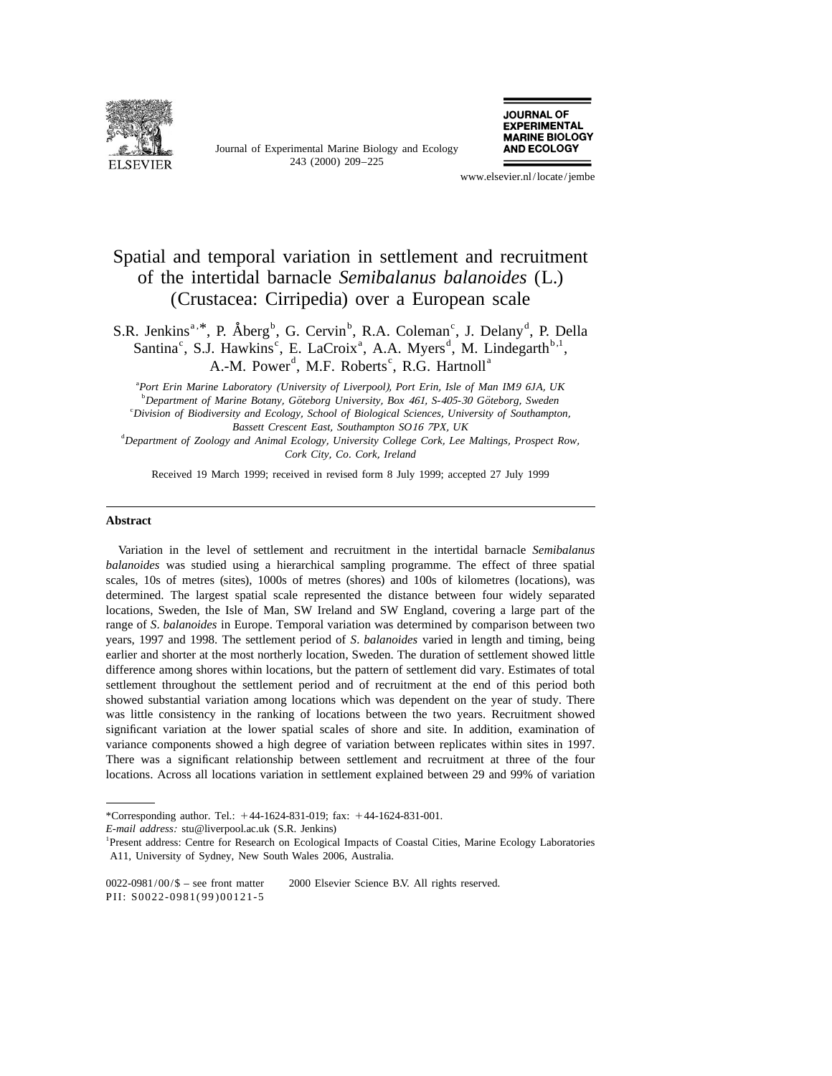

Journal of Experimental Marine Biology and Ecology 243 (2000) 209–225



www.elsevier.nl/locate/jembe

# Spatial and temporal variation in settlement and recruitment of the intertidal barnacle *Semibalanus balanoides* (L.) (Crustacea: Cirripedia) over a European scale

a, B.R. Jenkins<sup>a, \*</sup>, P. Åberg<sup>b</sup>, G. Cervin<sup>b</sup>, R.A. Coleman<sup>c</sup>, J. Delany<sup>d</sup>, P. Della Santina<sup>c</sup>, S.J. Hawkins<sup>c</sup>, E. LaCroix<sup>a</sup>, A.A. Myers<sup>d</sup>, M. Lindegarth<sup>b,1</sup>, A.-M. Power<sup>d</sup>, M.F. Roberts<sup>c</sup>, R.G. Hartnoll<sup>a</sup>

a *Port Erin Marine Laboratory* (*University of Liverpool*), *Port Erin*, *Isle of Man IM*<sup>9</sup> <sup>6</sup>*JA*, *UK* b *Department of Marine Botany*, *Goteborg University ¨ ¨* , *Box* 461, *S*-405-<sup>30</sup> *Goteborg*, *Sweden* c *Division of Biodiversity and Ecology*, *School of Biological Sciences*, *University of Southampton*, *Bassett Crescent East*, *Southampton SO*<sup>16</sup> <sup>7</sup>*PX*, *UK* d *Department of Zoology and Animal Ecology*, *University College Cork*, *Lee Maltings*, *Prospect Row*,

*Cork City*, *Co*. *Cork*, *Ireland*

Received 19 March 1999; received in revised form 8 July 1999; accepted 27 July 1999

## **Abstract**

Variation in the level of settlement and recruitment in the intertidal barnacle *Semibalanus balanoides* was studied using a hierarchical sampling programme. The effect of three spatial scales, 10s of metres (sites), 1000s of metres (shores) and 100s of kilometres (locations), was determined. The largest spatial scale represented the distance between four widely separated locations, Sweden, the Isle of Man, SW Ireland and SW England, covering a large part of the range of *S*. *balanoides* in Europe. Temporal variation was determined by comparison between two years, 1997 and 1998. The settlement period of *S*. *balanoides* varied in length and timing, being earlier and shorter at the most northerly location, Sweden. The duration of settlement showed little difference among shores within locations, but the pattern of settlement did vary. Estimates of total settlement throughout the settlement period and of recruitment at the end of this period both showed substantial variation among locations which was dependent on the year of study. There was little consistency in the ranking of locations between the two years. Recruitment showed significant variation at the lower spatial scales of shore and site. In addition, examination of variance components showed a high degree of variation between replicates within sites in 1997. There was a significant relationship between settlement and recruitment at three of the four locations. Across all locations variation in settlement explained between 29 and 99% of variation

<sup>\*</sup>Corresponding author. Tel.:  $+44-1624-831-019$ ; fax:  $+44-1624-831-001$ .

*E*-*mail address*: stu@liverpool.ac.uk (S.R. Jenkins)

<sup>&</sup>lt;sup>1</sup>Present address: Centre for Research on Ecological Impacts of Coastal Cities, Marine Ecology Laboratories A11, University of Sydney, New South Wales 2006, Australia.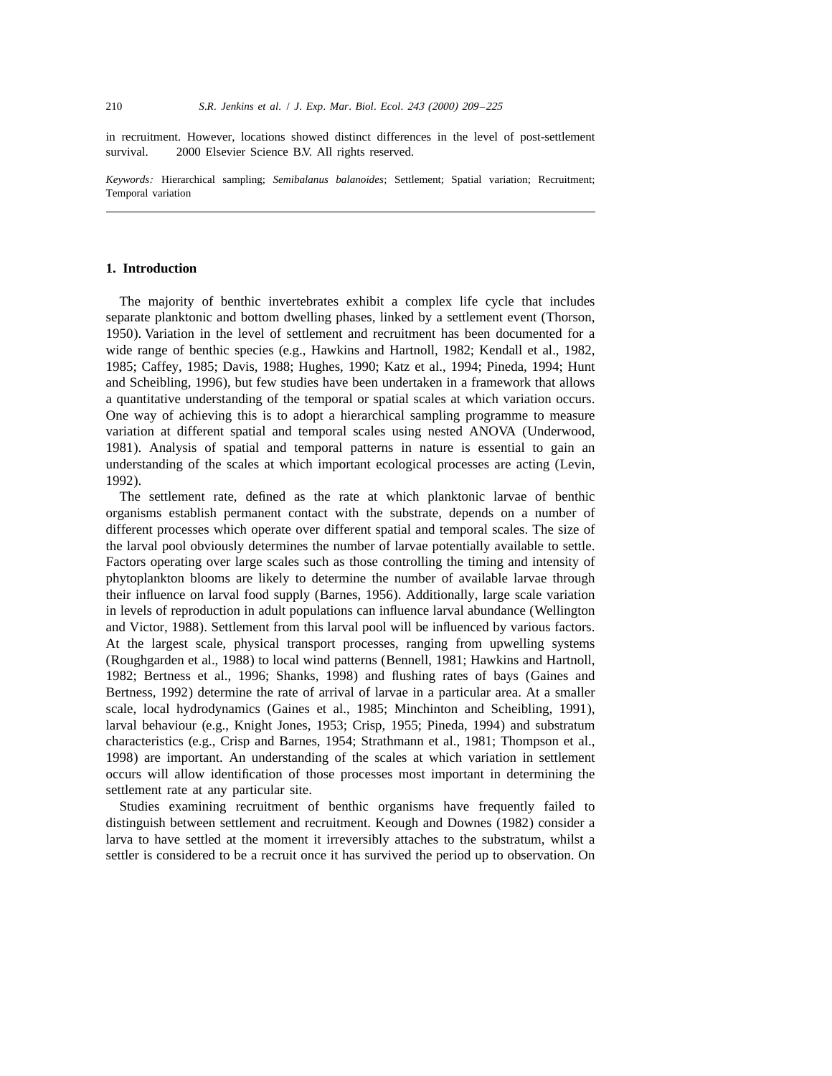in recruitment. However, locations showed distinct differences in the level of post-settlement survival.  $\circ$  2000 Elsevier Science B.V. All rights reserved.

*Keywords*: Hierarchical sampling; *Semibalanus balanoides*; Settlement; Spatial variation; Recruitment; Temporal variation

## **1. Introduction**

The majority of benthic invertebrates exhibit a complex life cycle that includes separate planktonic and bottom dwelling phases, linked by a settlement event (Thorson, 1950). Variation in the level of settlement and recruitment has been documented for a wide range of benthic species (e.g., Hawkins and Hartnoll, 1982; Kendall et al., 1982, 1985; Caffey, 1985; Davis, 1988; Hughes, 1990; Katz et al., 1994; Pineda, 1994; Hunt and Scheibling, 1996), but few studies have been undertaken in a framework that allows a quantitative understanding of the temporal or spatial scales at which variation occurs. One way of achieving this is to adopt a hierarchical sampling programme to measure variation at different spatial and temporal scales using nested ANOVA (Underwood, 1981). Analysis of spatial and temporal patterns in nature is essential to gain an understanding of the scales at which important ecological processes are acting (Levin, 1992).

The settlement rate, defined as the rate at which planktonic larvae of benthic organisms establish permanent contact with the substrate, depends on a number of different processes which operate over different spatial and temporal scales. The size of the larval pool obviously determines the number of larvae potentially available to settle. Factors operating over large scales such as those controlling the timing and intensity of phytoplankton blooms are likely to determine the number of available larvae through their influence on larval food supply (Barnes, 1956). Additionally, large scale variation in levels of reproduction in adult populations can influence larval abundance (Wellington and Victor, 1988). Settlement from this larval pool will be influenced by various factors. At the largest scale, physical transport processes, ranging from upwelling systems (Roughgarden et al., 1988) to local wind patterns (Bennell, 1981; Hawkins and Hartnoll, 1982; Bertness et al., 1996; Shanks, 1998) and flushing rates of bays (Gaines and Bertness, 1992) determine the rate of arrival of larvae in a particular area. At a smaller scale, local hydrodynamics (Gaines et al., 1985; Minchinton and Scheibling, 1991), larval behaviour (e.g., Knight Jones, 1953; Crisp, 1955; Pineda, 1994) and substratum characteristics (e.g., Crisp and Barnes, 1954; Strathmann et al., 1981; Thompson et al., 1998) are important. An understanding of the scales at which variation in settlement occurs will allow identification of those processes most important in determining the settlement rate at any particular site.

Studies examining recruitment of benthic organisms have frequently failed to distinguish between settlement and recruitment. Keough and Downes (1982) consider a larva to have settled at the moment it irreversibly attaches to the substratum, whilst a settler is considered to be a recruit once it has survived the period up to observation. On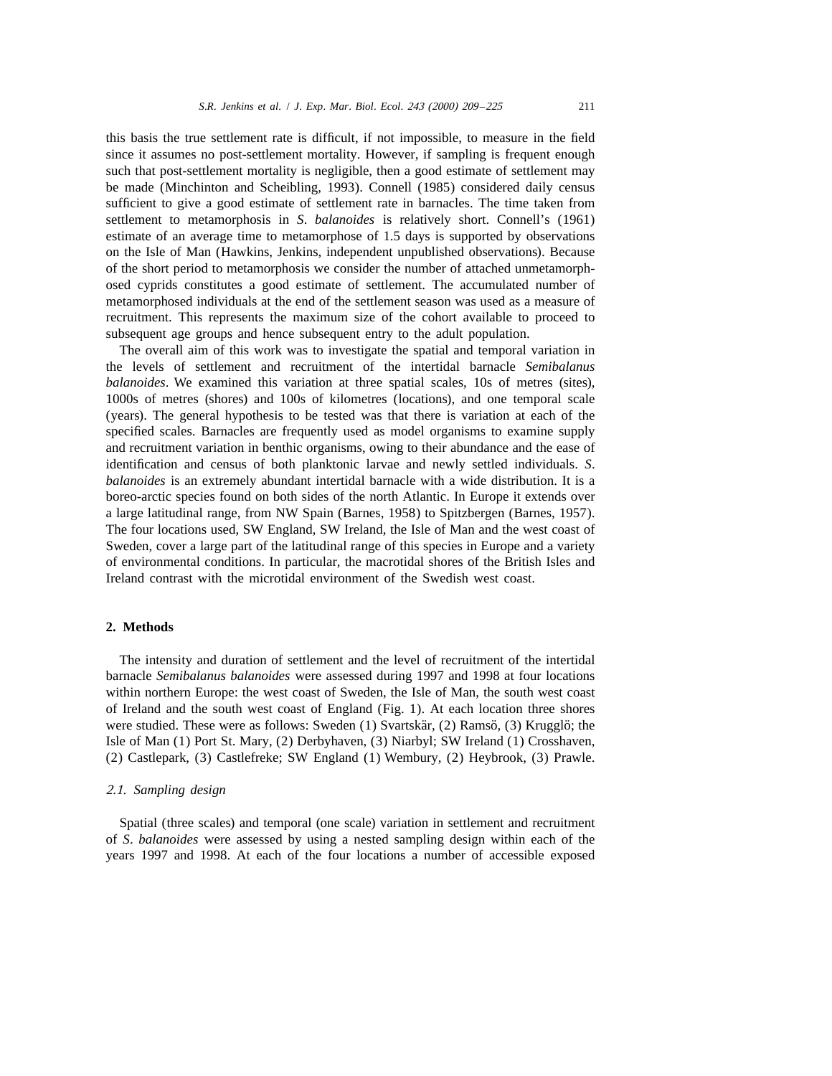this basis the true settlement rate is difficult, if not impossible, to measure in the field since it assumes no post-settlement mortality. However, if sampling is frequent enough such that post-settlement mortality is negligible, then a good estimate of settlement may be made (Minchinton and Scheibling, 1993). Connell (1985) considered daily census sufficient to give a good estimate of settlement rate in barnacles. The time taken from settlement to metamorphosis in *S*. *balanoides* is relatively short. Connell's (1961) estimate of an average time to metamorphose of 1.5 days is supported by observations on the Isle of Man (Hawkins, Jenkins, independent unpublished observations). Because of the short period to metamorphosis we consider the number of attached unmetamorphosed cyprids constitutes a good estimate of settlement. The accumulated number of metamorphosed individuals at the end of the settlement season was used as a measure of recruitment. This represents the maximum size of the cohort available to proceed to subsequent age groups and hence subsequent entry to the adult population.

The overall aim of this work was to investigate the spatial and temporal variation in the levels of settlement and recruitment of the intertidal barnacle *Semibalanus balanoides*. We examined this variation at three spatial scales, 10s of metres (sites), 1000s of metres (shores) and 100s of kilometres (locations), and one temporal scale (years). The general hypothesis to be tested was that there is variation at each of the specified scales. Barnacles are frequently used as model organisms to examine supply and recruitment variation in benthic organisms, owing to their abundance and the ease of identification and census of both planktonic larvae and newly settled individuals. *S*. *balanoides* is an extremely abundant intertidal barnacle with a wide distribution. It is a boreo-arctic species found on both sides of the north Atlantic. In Europe it extends over a large latitudinal range, from NW Spain (Barnes, 1958) to Spitzbergen (Barnes, 1957). The four locations used, SW England, SW Ireland, the Isle of Man and the west coast of Sweden, cover a large part of the latitudinal range of this species in Europe and a variety of environmental conditions. In particular, the macrotidal shores of the British Isles and Ireland contrast with the microtidal environment of the Swedish west coast.

## **2. Methods**

The intensity and duration of settlement and the level of recruitment of the intertidal barnacle *Semibalanus balanoides* were assessed during 1997 and 1998 at four locations within northern Europe: the west coast of Sweden, the Isle of Man, the south west coast of Ireland and the south west coast of England (Fig. 1). At each location three shores were studied. These were as follows: Sweden  $(1)$  Svartskär,  $(2)$  Ramsö,  $(3)$  Krugglö; the Isle of Man (1) Port St. Mary, (2) Derbyhaven, (3) Niarbyl; SW Ireland (1) Crosshaven, (2) Castlepark, (3) Castlefreke; SW England (1) Wembury, (2) Heybrook, (3) Prawle.

## 2.1. *Sampling design*

Spatial (three scales) and temporal (one scale) variation in settlement and recruitment of *S*. *balanoides* were assessed by using a nested sampling design within each of the years 1997 and 1998. At each of the four locations a number of accessible exposed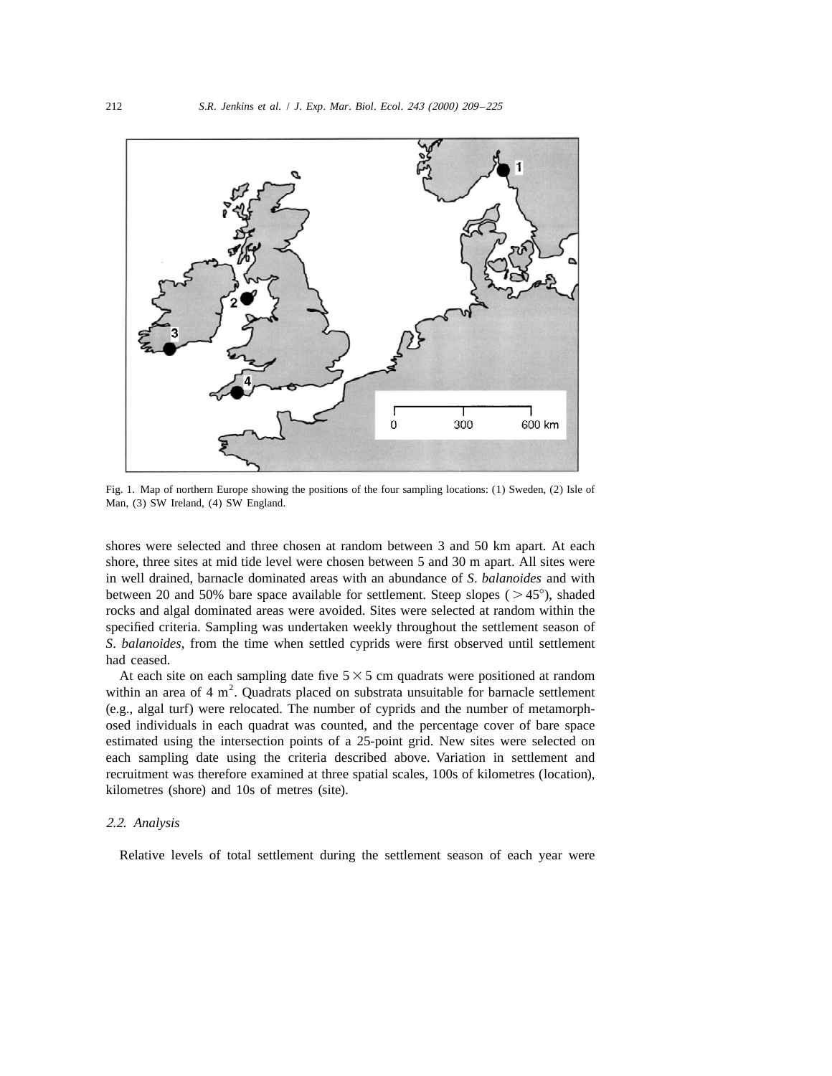

Fig. 1. Map of northern Europe showing the positions of the four sampling locations: (1) Sweden, (2) Isle of Man, (3) SW Ireland, (4) SW England.

shores were selected and three chosen at random between 3 and 50 km apart. At each shore, three sites at mid tide level were chosen between 5 and 30 m apart. All sites were in well drained, barnacle dominated areas with an abundance of *S*. *balanoides* and with between 20 and 50% bare space available for settlement. Steep slopes ( $>45^{\circ}$ ), shaded rocks and algal dominated areas were avoided. Sites were selected at random within the specified criteria. Sampling was undertaken weekly throughout the settlement season of *S*. *balanoides*, from the time when settled cyprids were first observed until settlement had ceased.

At each site on each sampling date five  $5 \times 5$  cm quadrats were positioned at random within an area of 4 m<sup>2</sup>. Quadrats placed on substrata unsuitable for barnacle settlement (e.g., algal turf) were relocated. The number of cyprids and the number of metamorphosed individuals in each quadrat was counted, and the percentage cover of bare space estimated using the intersection points of a 25-point grid. New sites were selected on each sampling date using the criteria described above. Variation in settlement and recruitment was therefore examined at three spatial scales, 100s of kilometres (location), kilometres (shore) and 10s of metres (site).

# 2.2. *Analysis*

Relative levels of total settlement during the settlement season of each year were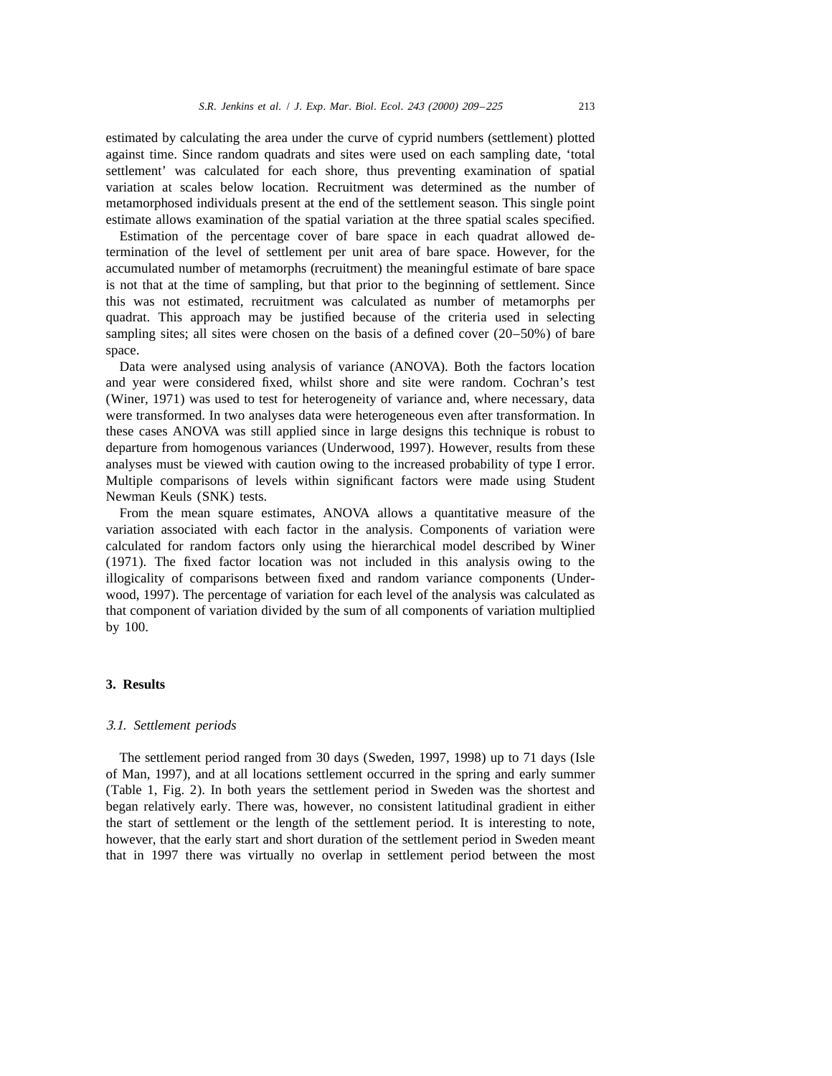estimated by calculating the area under the curve of cyprid numbers (settlement) plotted against time. Since random quadrats and sites were used on each sampling date, 'total settlement' was calculated for each shore, thus preventing examination of spatial variation at scales below location. Recruitment was determined as the number of metamorphosed individuals present at the end of the settlement season. This single point estimate allows examination of the spatial variation at the three spatial scales specified.

Estimation of the percentage cover of bare space in each quadrat allowed determination of the level of settlement per unit area of bare space. However, for the accumulated number of metamorphs (recruitment) the meaningful estimate of bare space is not that at the time of sampling, but that prior to the beginning of settlement. Since this was not estimated, recruitment was calculated as number of metamorphs per quadrat. This approach may be justified because of the criteria used in selecting sampling sites; all sites were chosen on the basis of a defined cover (20–50%) of bare space.

Data were analysed using analysis of variance (ANOVA). Both the factors location and year were considered fixed, whilst shore and site were random. Cochran's test (Winer, 1971) was used to test for heterogeneity of variance and, where necessary, data were transformed. In two analyses data were heterogeneous even after transformation. In these cases ANOVA was still applied since in large designs this technique is robust to departure from homogenous variances (Underwood, 1997). However, results from these analyses must be viewed with caution owing to the increased probability of type I error. Multiple comparisons of levels within significant factors were made using Student Newman Keuls (SNK) tests.

From the mean square estimates, ANOVA allows a quantitative measure of the variation associated with each factor in the analysis. Components of variation were calculated for random factors only using the hierarchical model described by Winer (1971). The fixed factor location was not included in this analysis owing to the illogicality of comparisons between fixed and random variance components (Underwood, 1997). The percentage of variation for each level of the analysis was calculated as that component of variation divided by the sum of all components of variation multiplied by 100.

## **3. Results**

#### 3.1. *Settlement periods*

The settlement period ranged from 30 days (Sweden, 1997, 1998) up to 71 days (Isle of Man, 1997), and at all locations settlement occurred in the spring and early summer (Table 1, Fig. 2). In both years the settlement period in Sweden was the shortest and began relatively early. There was, however, no consistent latitudinal gradient in either the start of settlement or the length of the settlement period. It is interesting to note, however, that the early start and short duration of the settlement period in Sweden meant that in 1997 there was virtually no overlap in settlement period between the most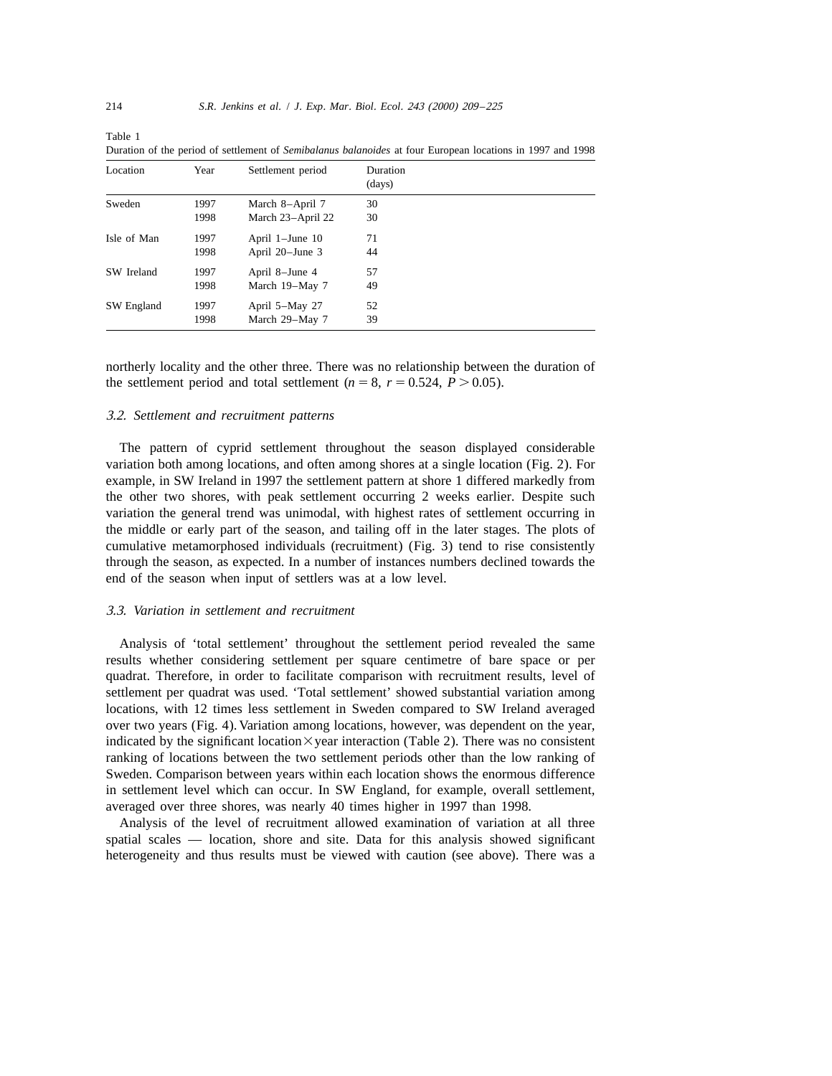| Location    | Year         | Settlement period                    | Duration<br>(days) |  |
|-------------|--------------|--------------------------------------|--------------------|--|
| Sweden      | 1997<br>1998 | March 8-April 7<br>March 23-April 22 | 30<br>30           |  |
| Isle of Man | 1997<br>1998 | April 1-June 10<br>April 20–June 3   | 71<br>44           |  |
| SW Ireland  | 1997<br>1998 | April 8-June 4<br>March 19-May 7     | 57<br>49           |  |
| SW England  | 1997<br>1998 | April 5-May 27<br>March 29-May 7     | 52<br>39           |  |

Duration of the period of settlement of *Semibalanus balanoides* at four European locations in 1997 and 1998

northerly locality and the other three. There was no relationship between the duration of the settlement period and total settlement ( $n = 8$ ,  $r = 0.524$ ,  $P > 0.05$ ).

## 3.2. *Settlement and recruitment patterns*

The pattern of cyprid settlement throughout the season displayed considerable variation both among locations, and often among shores at a single location (Fig. 2). For example, in SW Ireland in 1997 the settlement pattern at shore 1 differed markedly from the other two shores, with peak settlement occurring 2 weeks earlier. Despite such variation the general trend was unimodal, with highest rates of settlement occurring in the middle or early part of the season, and tailing off in the later stages. The plots of cumulative metamorphosed individuals (recruitment) (Fig. 3) tend to rise consistently through the season, as expected. In a number of instances numbers declined towards the end of the season when input of settlers was at a low level.

# 3.3. *Variation in settlement and recruitment*

Analysis of 'total settlement' throughout the settlement period revealed the same results whether considering settlement per square centimetre of bare space or per quadrat. Therefore, in order to facilitate comparison with recruitment results, level of settlement per quadrat was used. 'Total settlement' showed substantial variation among locations, with 12 times less settlement in Sweden compared to SW Ireland averaged over two years (Fig. 4). Variation among locations, however, was dependent on the year, indicated by the significant location $\times$ year interaction (Table 2). There was no consistent ranking of locations between the two settlement periods other than the low ranking of Sweden. Comparison between years within each location shows the enormous difference in settlement level which can occur. In SW England, for example, overall settlement, averaged over three shores, was nearly 40 times higher in 1997 than 1998.

Analysis of the level of recruitment allowed examination of variation at all three spatial scales — location, shore and site. Data for this analysis showed significant heterogeneity and thus results must be viewed with caution (see above). There was a

Table 1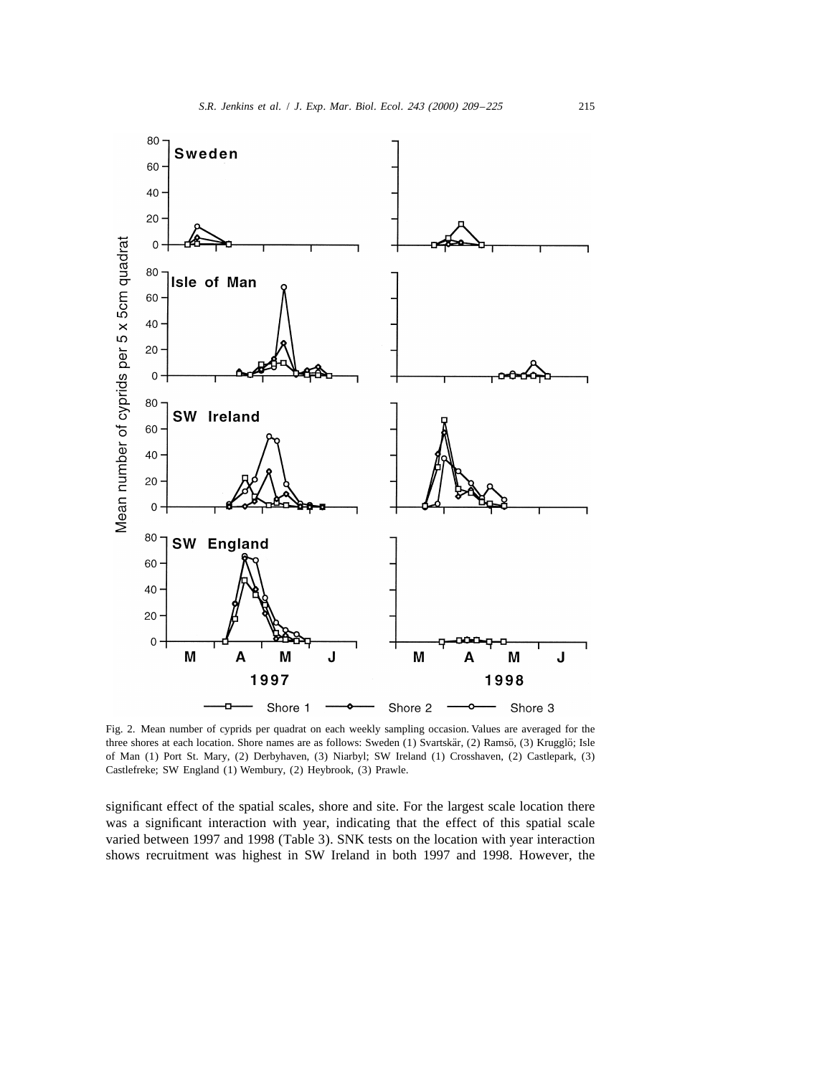

Fig. 2. Mean number of cyprids per quadrat on each weekly sampling occasion. Values are averaged for the three shores at each location. Shore names are as follows: Sweden (1) Svartskär, (2) Ramsö, (3) Krugglö; Isle of Man (1) Port St. Mary, (2) Derbyhaven, (3) Niarbyl; SW Ireland (1) Crosshaven, (2) Castlepark, (3) Castlefreke; SW England (1) Wembury, (2) Heybrook, (3) Prawle.

significant effect of the spatial scales, shore and site. For the largest scale location there was a significant interaction with year, indicating that the effect of this spatial scale varied between 1997 and 1998 (Table 3). SNK tests on the location with year interaction shows recruitment was highest in SW Ireland in both 1997 and 1998. However, the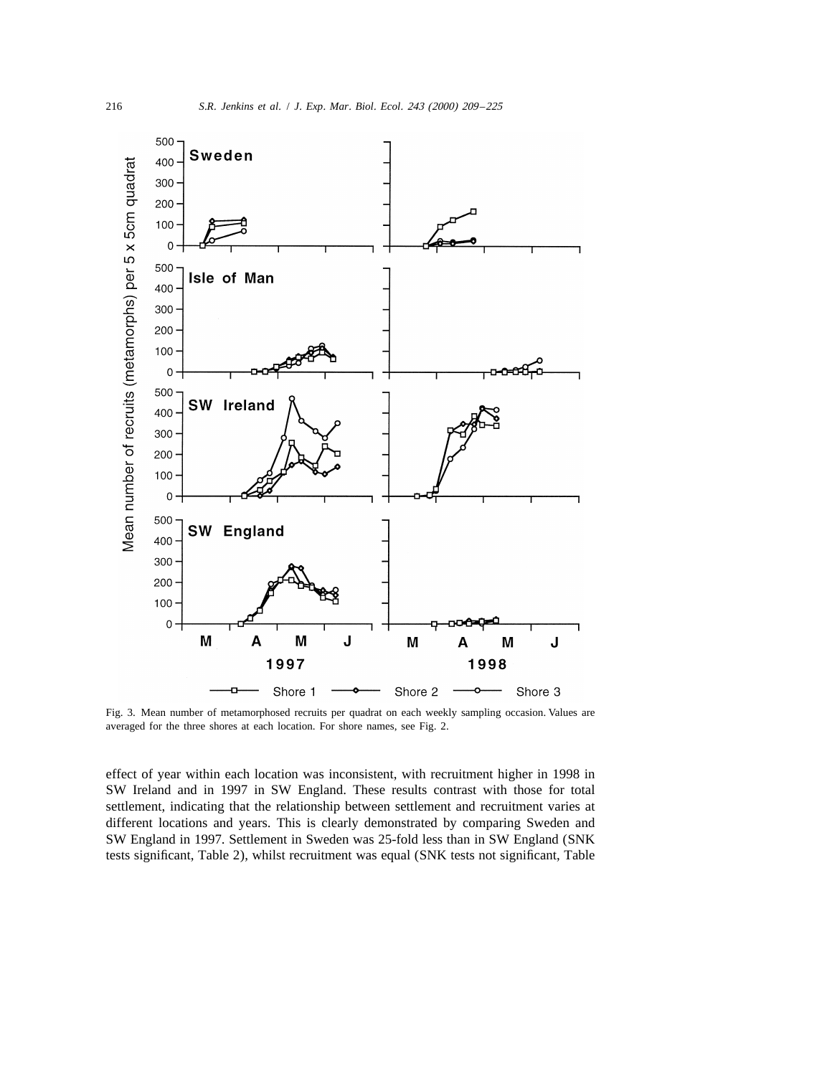

Fig. 3. Mean number of metamorphosed recruits per quadrat on each weekly sampling occasion. Values are averaged for the three shores at each location. For shore names, see Fig. 2.

effect of year within each location was inconsistent, with recruitment higher in 1998 in SW Ireland and in 1997 in SW England. These results contrast with those for total settlement, indicating that the relationship between settlement and recruitment varies at different locations and years. This is clearly demonstrated by comparing Sweden and SW England in 1997. Settlement in Sweden was 25-fold less than in SW England (SNK tests significant, Table 2), whilst recruitment was equal (SNK tests not significant, Table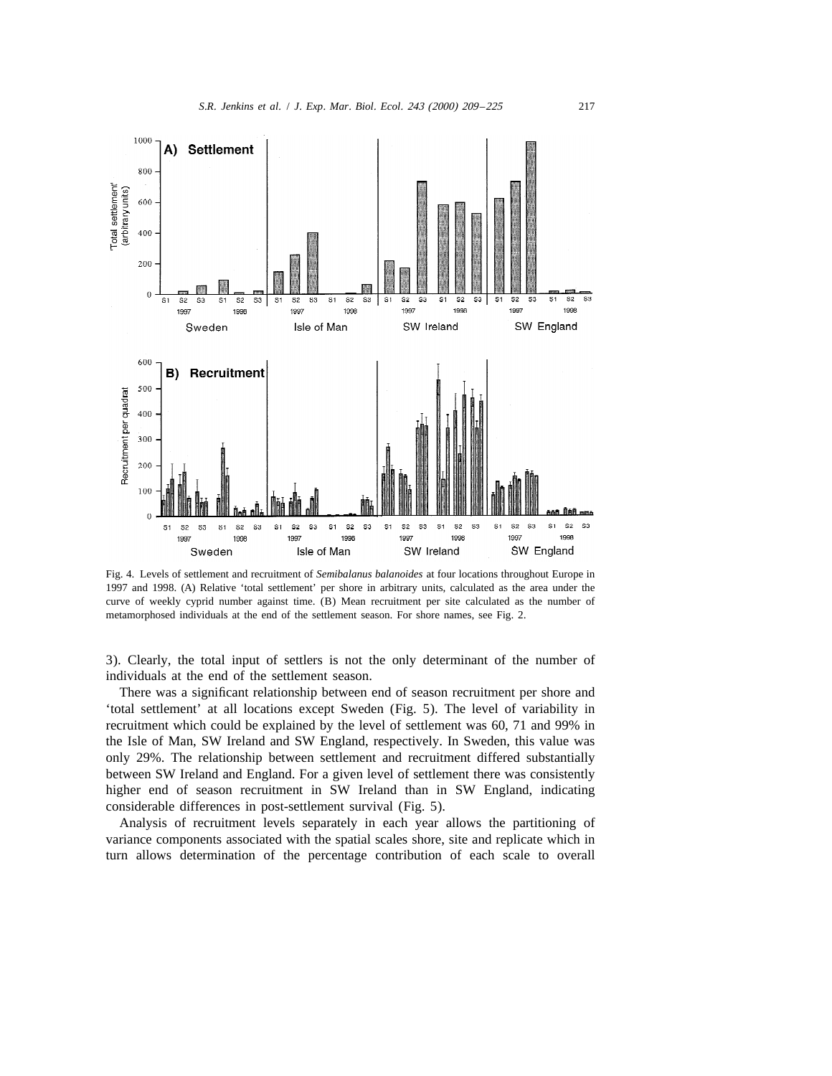

Fig. 4. Levels of settlement and recruitment of *Semibalanus balanoides* at four locations throughout Europe in 1997 and 1998. (A) Relative 'total settlement' per shore in arbitrary units, calculated as the area under the curve of weekly cyprid number against time. (B) Mean recruitment per site calculated as the number of metamorphosed individuals at the end of the settlement season. For shore names, see Fig. 2.

3). Clearly, the total input of settlers is not the only determinant of the number of individuals at the end of the settlement season.

There was a significant relationship between end of season recruitment per shore and 'total settlement' at all locations except Sweden (Fig. 5). The level of variability in recruitment which could be explained by the level of settlement was 60, 71 and 99% in the Isle of Man, SW Ireland and SW England, respectively. In Sweden, this value was only 29%. The relationship between settlement and recruitment differed substantially between SW Ireland and England. For a given level of settlement there was consistently higher end of season recruitment in SW Ireland than in SW England, indicating considerable differences in post-settlement survival (Fig. 5).

Analysis of recruitment levels separately in each year allows the partitioning of variance components associated with the spatial scales shore, site and replicate which in turn allows determination of the percentage contribution of each scale to overall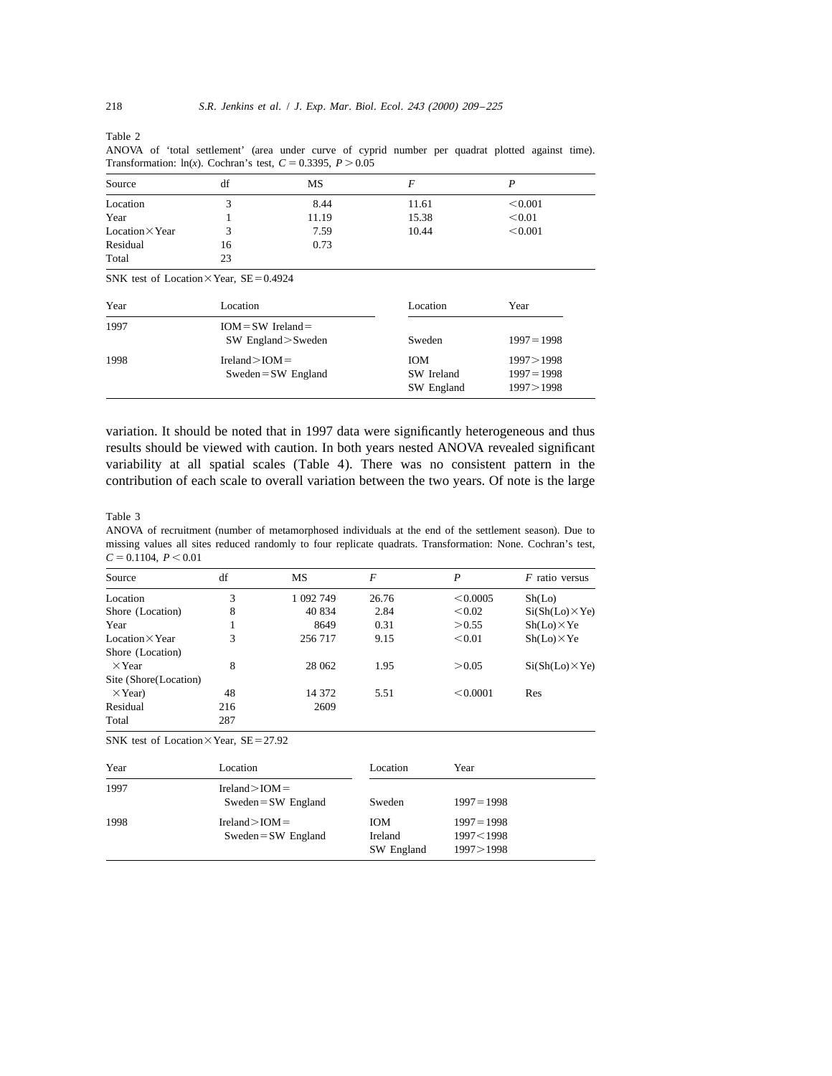Table 2

ANOVA of 'total settlement' (area under curve of cyprid number per quadrat plotted against time). Transformation:  $ln(x)$ . Cochran's test,  $C = 0.3395$ ,  $P > 0.05$ 

| Source                 | df | MS    |       |         |  |
|------------------------|----|-------|-------|---------|--|
| Location               |    | 8.44  | 11.61 | < 0.001 |  |
| Year                   |    | 11.19 | 15.38 | < 0.01  |  |
| $Location \times Year$ |    | 7.59  | 10.44 | < 0.001 |  |
| Residual               | 16 | 0.73  |       |         |  |
| Total                  | 23 |       |       |         |  |

SNK test of Location $\times$ Year, SE=0.4924

| Year | Location                                        | Location                               | Year                                      |
|------|-------------------------------------------------|----------------------------------------|-------------------------------------------|
| 1997 | $IOM = SW Ireland =$<br>$SW$ England $>$ Sweden | Sweden                                 | $1997 = 1998$                             |
| 1998 | $Ireland > IOM =$<br>$Sweden = SW England$      | <b>IOM</b><br>SW Ireland<br>SW England | 1997>1998<br>$1997 = 1998$<br>1997 > 1998 |

variation. It should be noted that in 1997 data were significantly heterogeneous and thus results should be viewed with caution. In both years nested ANOVA revealed significant variability at all spatial scales (Table 4). There was no consistent pattern in the contribution of each scale to overall variation between the two years. Of note is the large

Table 3

ANOVA of recruitment (number of metamorphosed individuals at the end of the settlement season). Due to missing values all sites reduced randomly to four replicate quadrats. Transformation: None. Cochran's test,  $C = 0.1104, P \le 0.01$ 

| Source                 | df  | MS        | F     | P        | $F$ ratio versus       |
|------------------------|-----|-----------|-------|----------|------------------------|
| Location               | 3   | 1 092 749 | 26.76 | < 0.0005 | Sh(Lo)                 |
| Shore (Location)       | 8   | 40 834    | 2.84  | < 0.02   | $Si(Sh(Lo) \times Ye)$ |
| Year                   |     | 8649      | 0.31  | > 0.55   | $Sh(Lo) \times Ye$     |
| Location $\times$ Year | 3   | 256 717   | 9.15  | < 0.01   | $Sh(Lo) \times Ye$     |
| Shore (Location)       |     |           |       |          |                        |
| $\times$ Year          | 8   | 28 062    | 1.95  | > 0.05   | $Si(Sh(Lo) \times Ye)$ |
| Site (Shore(Location)  |     |           |       |          |                        |
| $\times$ Year)         | 48  | 14 372    | 5.51  | < 0.0001 | Res                    |
| Residual               | 216 | 2609      |       |          |                        |
| Total                  | 287 |           |       |          |                        |

SNK test of Location $\times$ Year, SE=27.92

| Year | Location                                   | Location                    | Year                                      |
|------|--------------------------------------------|-----------------------------|-------------------------------------------|
| 1997 | $Ireland > IOM =$<br>$Sweden = SW England$ | Sweden                      | $1997 = 1998$                             |
| 1998 | $Ireland > IOM =$<br>$Sweden = SW England$ | ЮM<br>Ireland<br>SW England | $1997 = 1998$<br>1997<1998<br>1997 > 1998 |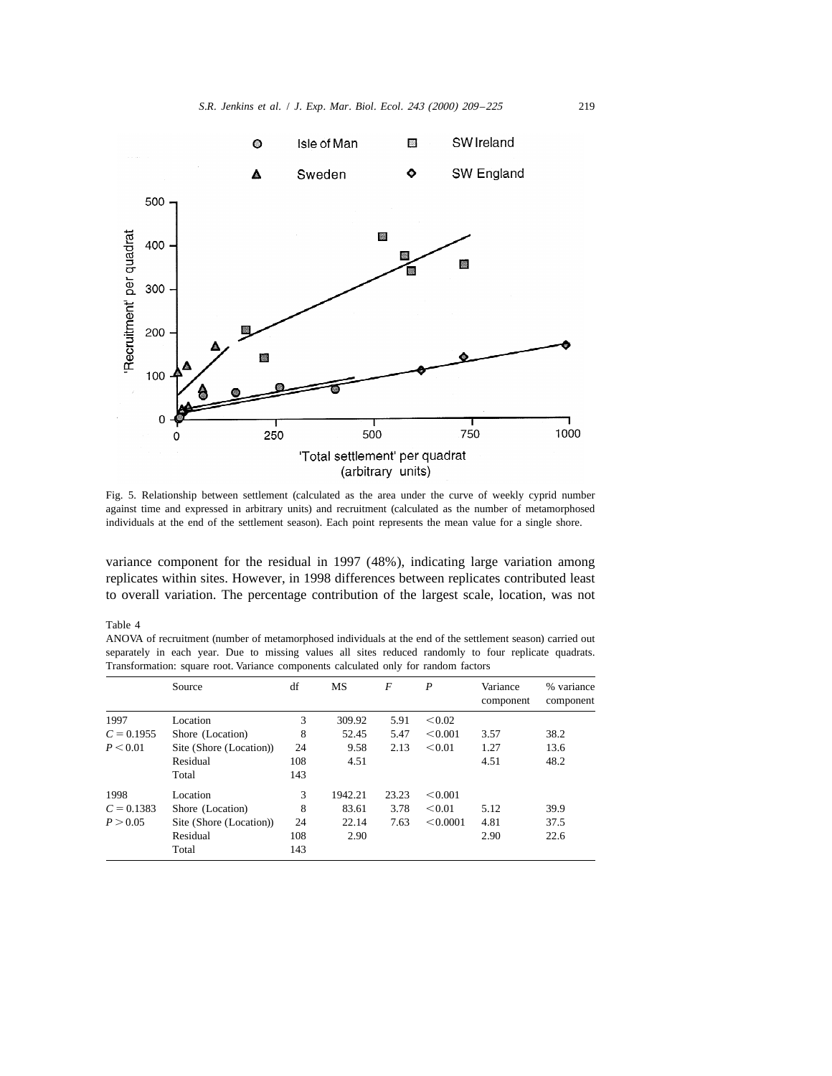

Fig. 5. Relationship between settlement (calculated as the area under the curve of weekly cyprid number against time and expressed in arbitrary units) and recruitment (calculated as the number of metamorphosed individuals at the end of the settlement season). Each point represents the mean value for a single shore.

variance component for the residual in 1997 (48%), indicating large variation among replicates within sites. However, in 1998 differences between replicates contributed least to overall variation. The percentage contribution of the largest scale, location, was not

## Table 4

ANOVA of recruitment (number of metamorphosed individuals at the end of the settlement season) carried out separately in each year. Due to missing values all sites reduced randomly to four replicate quadrats. Transformation: square root. Variance components calculated only for random factors

|              | Source                  | df  | MS      | $\overline{F}$ | P        | Variance<br>component | % variance<br>component |
|--------------|-------------------------|-----|---------|----------------|----------|-----------------------|-------------------------|
| 1997         | Location                | 3   | 309.92  | 5.91           | < 0.02   |                       |                         |
| $C = 0.1955$ | Shore (Location)        | 8   | 52.45   | 5.47           | < 0.001  | 3.57                  | 38.2                    |
| P < 0.01     | Site (Shore (Location)) | 24  | 9.58    | 2.13           | < 0.01   | 1.27                  | 13.6                    |
|              | Residual                | 108 | 4.51    |                |          | 4.51                  | 48.2                    |
|              | Total                   | 143 |         |                |          |                       |                         |
| 1998         | Location                | 3   | 1942.21 | 23.23          | < 0.001  |                       |                         |
| $C = 0.1383$ | Shore (Location)        | 8   | 83.61   | 3.78           | < 0.01   | 5.12                  | 39.9                    |
| P > 0.05     | Site (Shore (Location)) | 24  | 22.14   | 7.63           | < 0.0001 | 4.81                  | 37.5                    |
|              | Residual                | 108 | 2.90    |                |          | 2.90                  | 22.6                    |
|              | Total                   | 143 |         |                |          |                       |                         |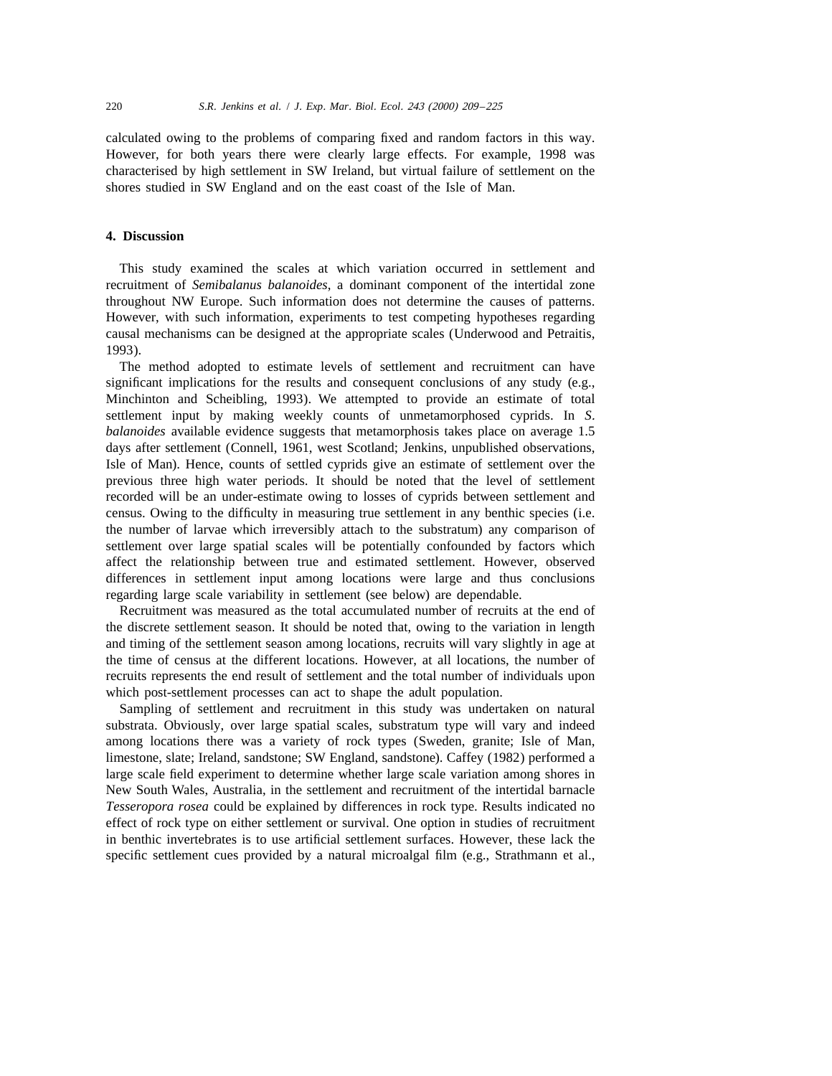calculated owing to the problems of comparing fixed and random factors in this way. However, for both years there were clearly large effects. For example, 1998 was characterised by high settlement in SW Ireland, but virtual failure of settlement on the shores studied in SW England and on the east coast of the Isle of Man.

## **4. Discussion**

This study examined the scales at which variation occurred in settlement and recruitment of *Semibalanus balanoides*, a dominant component of the intertidal zone throughout NW Europe. Such information does not determine the causes of patterns. However, with such information, experiments to test competing hypotheses regarding causal mechanisms can be designed at the appropriate scales (Underwood and Petraitis, 1993).

The method adopted to estimate levels of settlement and recruitment can have significant implications for the results and consequent conclusions of any study (e.g., Minchinton and Scheibling, 1993). We attempted to provide an estimate of total settlement input by making weekly counts of unmetamorphosed cyprids. In *S*. *balanoides* available evidence suggests that metamorphosis takes place on average 1.5 days after settlement (Connell, 1961, west Scotland; Jenkins, unpublished observations, Isle of Man). Hence, counts of settled cyprids give an estimate of settlement over the previous three high water periods. It should be noted that the level of settlement recorded will be an under-estimate owing to losses of cyprids between settlement and census. Owing to the difficulty in measuring true settlement in any benthic species (i.e. the number of larvae which irreversibly attach to the substratum) any comparison of settlement over large spatial scales will be potentially confounded by factors which affect the relationship between true and estimated settlement. However, observed differences in settlement input among locations were large and thus conclusions regarding large scale variability in settlement (see below) are dependable.

Recruitment was measured as the total accumulated number of recruits at the end of the discrete settlement season. It should be noted that, owing to the variation in length and timing of the settlement season among locations, recruits will vary slightly in age at the time of census at the different locations. However, at all locations, the number of recruits represents the end result of settlement and the total number of individuals upon which post-settlement processes can act to shape the adult population.

Sampling of settlement and recruitment in this study was undertaken on natural substrata. Obviously, over large spatial scales, substratum type will vary and indeed among locations there was a variety of rock types (Sweden, granite; Isle of Man, limestone, slate; Ireland, sandstone; SW England, sandstone). Caffey (1982) performed a large scale field experiment to determine whether large scale variation among shores in New South Wales, Australia, in the settlement and recruitment of the intertidal barnacle *Tesseropora rosea* could be explained by differences in rock type. Results indicated no effect of rock type on either settlement or survival. One option in studies of recruitment in benthic invertebrates is to use artificial settlement surfaces. However, these lack the specific settlement cues provided by a natural microalgal film (e.g., Strathmann et al.,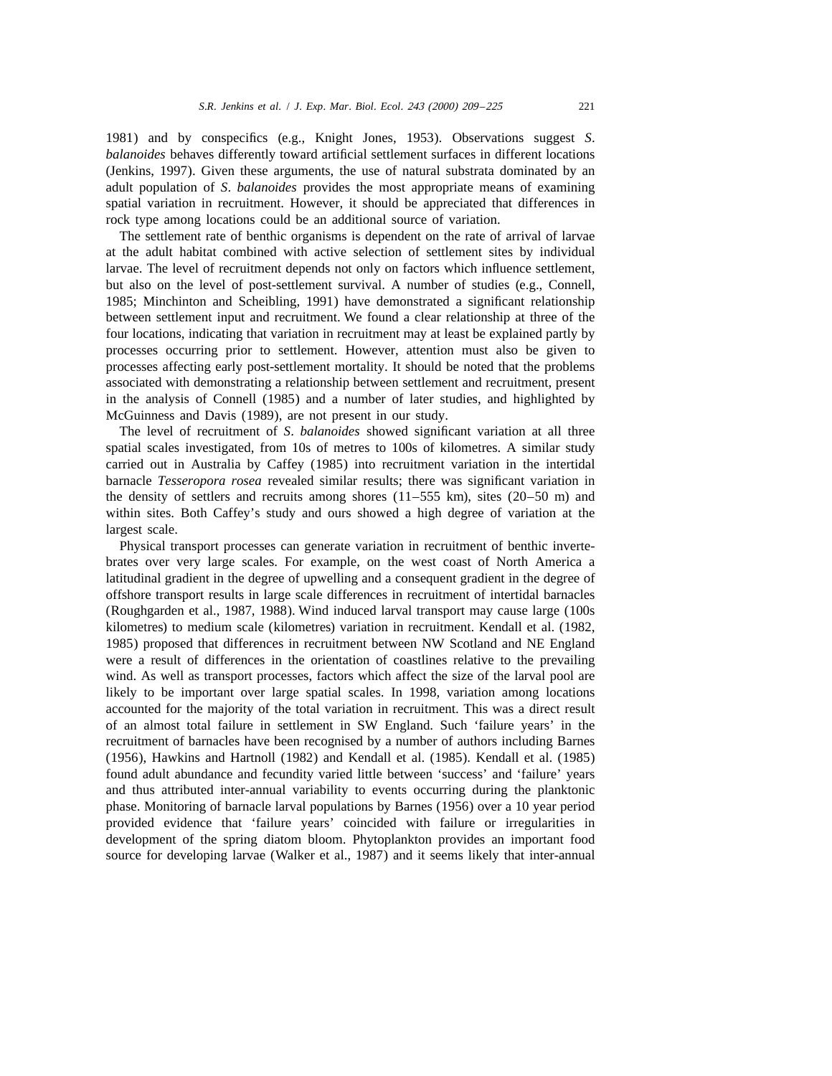1981) and by conspecifics (e.g., Knight Jones, 1953). Observations suggest *S*. *balanoides* behaves differently toward artificial settlement surfaces in different locations (Jenkins, 1997). Given these arguments, the use of natural substrata dominated by an adult population of *S*. *balanoides* provides the most appropriate means of examining spatial variation in recruitment. However, it should be appreciated that differences in rock type among locations could be an additional source of variation.

The settlement rate of benthic organisms is dependent on the rate of arrival of larvae at the adult habitat combined with active selection of settlement sites by individual larvae. The level of recruitment depends not only on factors which influence settlement, but also on the level of post-settlement survival. A number of studies (e.g., Connell, 1985; Minchinton and Scheibling, 1991) have demonstrated a significant relationship between settlement input and recruitment. We found a clear relationship at three of the four locations, indicating that variation in recruitment may at least be explained partly by processes occurring prior to settlement. However, attention must also be given to processes affecting early post-settlement mortality. It should be noted that the problems associated with demonstrating a relationship between settlement and recruitment, present in the analysis of Connell (1985) and a number of later studies, and highlighted by McGuinness and Davis (1989), are not present in our study.

The level of recruitment of *S*. *balanoides* showed significant variation at all three spatial scales investigated, from 10s of metres to 100s of kilometres. A similar study carried out in Australia by Caffey (1985) into recruitment variation in the intertidal barnacle *Tesseropora rosea* revealed similar results; there was significant variation in the density of settlers and recruits among shores  $(11–555 \text{ km})$ , sites  $(20–50 \text{ m})$  and within sites. Both Caffey's study and ours showed a high degree of variation at the largest scale.

Physical transport processes can generate variation in recruitment of benthic invertebrates over very large scales. For example, on the west coast of North America a latitudinal gradient in the degree of upwelling and a consequent gradient in the degree of offshore transport results in large scale differences in recruitment of intertidal barnacles (Roughgarden et al., 1987, 1988). Wind induced larval transport may cause large (100s kilometres) to medium scale (kilometres) variation in recruitment. Kendall et al. (1982, 1985) proposed that differences in recruitment between NW Scotland and NE England were a result of differences in the orientation of coastlines relative to the prevailing wind. As well as transport processes, factors which affect the size of the larval pool are likely to be important over large spatial scales. In 1998, variation among locations accounted for the majority of the total variation in recruitment. This was a direct result of an almost total failure in settlement in SW England. Such 'failure years' in the recruitment of barnacles have been recognised by a number of authors including Barnes (1956), Hawkins and Hartnoll (1982) and Kendall et al. (1985). Kendall et al. (1985) found adult abundance and fecundity varied little between 'success' and 'failure' years and thus attributed inter-annual variability to events occurring during the planktonic phase. Monitoring of barnacle larval populations by Barnes (1956) over a 10 year period provided evidence that 'failure years' coincided with failure or irregularities in development of the spring diatom bloom. Phytoplankton provides an important food source for developing larvae (Walker et al., 1987) and it seems likely that inter-annual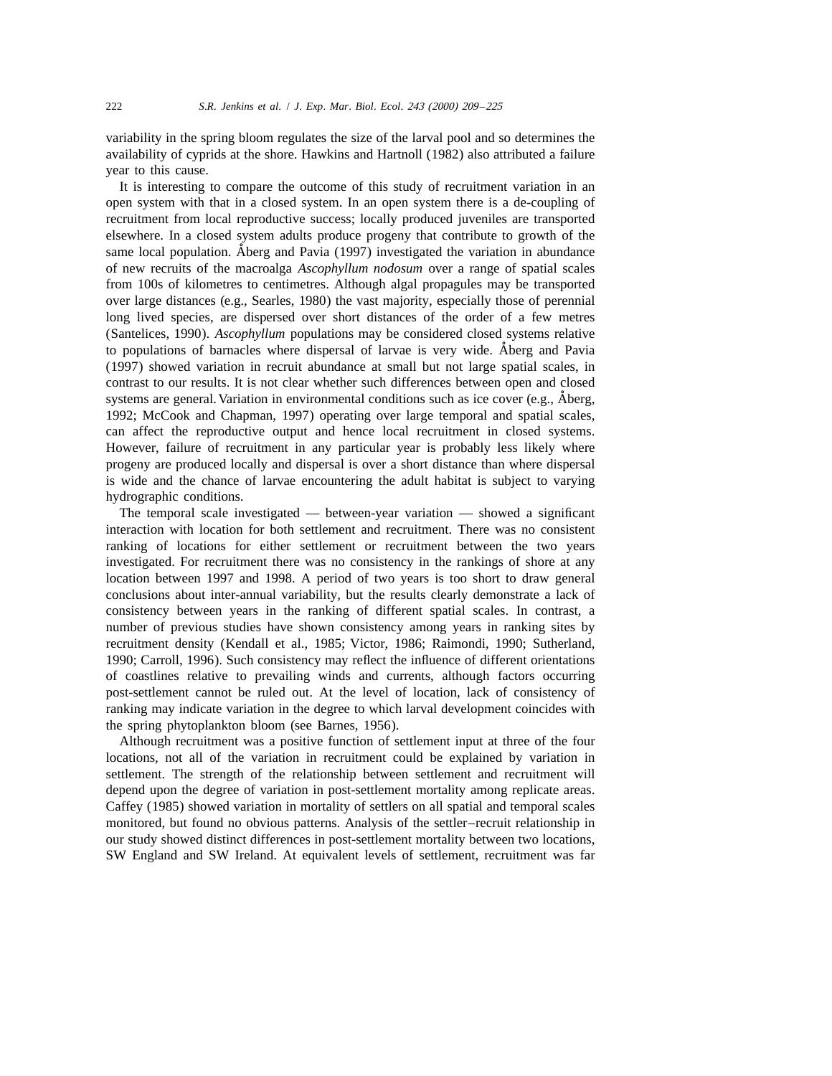variability in the spring bloom regulates the size of the larval pool and so determines the availability of cyprids at the shore. Hawkins and Hartnoll (1982) also attributed a failure year to this cause.

It is interesting to compare the outcome of this study of recruitment variation in an open system with that in a closed system. In an open system there is a de-coupling of recruitment from local reproductive success; locally produced juveniles are transported elsewhere. In a closed system adults produce progeny that contribute to growth of the *˚* same local population. Aberg and Pavia (1997) investigated the variation in abundance of new recruits of the macroalga *Ascophyllum nodosum* over a range of spatial scales from 100s of kilometres to centimetres. Although algal propagules may be transported over large distances (e.g., Searles, 1980) the vast majority, especially those of perennial long lived species, are dispersed over short distances of the order of a few metres (Santelices, 1990). *Ascophyllum* populations may be considered closed systems relative to populations of barnacles where dispersal of larvae is very wide. Aberg and Pavia (1997) showed variation in recruit abundance at small but not large spatial scales, in contrast to our results. It is not clear whether such differences between open and closed systems are general. Variation in environmental conditions such as ice cover (e.g., Aberg, 1992; McCook and Chapman, 1997) operating over large temporal and spatial scales, can affect the reproductive output and hence local recruitment in closed systems. However, failure of recruitment in any particular year is probably less likely where progeny are produced locally and dispersal is over a short distance than where dispersal is wide and the chance of larvae encountering the adult habitat is subject to varying hydrographic conditions.

The temporal scale investigated — between-year variation — showed a significant interaction with location for both settlement and recruitment. There was no consistent ranking of locations for either settlement or recruitment between the two years investigated. For recruitment there was no consistency in the rankings of shore at any location between 1997 and 1998. A period of two years is too short to draw general conclusions about inter-annual variability, but the results clearly demonstrate a lack of consistency between years in the ranking of different spatial scales. In contrast, a number of previous studies have shown consistency among years in ranking sites by recruitment density (Kendall et al., 1985; Victor, 1986; Raimondi, 1990; Sutherland, 1990; Carroll, 1996). Such consistency may reflect the influence of different orientations of coastlines relative to prevailing winds and currents, although factors occurring post-settlement cannot be ruled out. At the level of location, lack of consistency of ranking may indicate variation in the degree to which larval development coincides with the spring phytoplankton bloom (see Barnes, 1956).

Although recruitment was a positive function of settlement input at three of the four locations, not all of the variation in recruitment could be explained by variation in settlement. The strength of the relationship between settlement and recruitment will depend upon the degree of variation in post-settlement mortality among replicate areas. Caffey (1985) showed variation in mortality of settlers on all spatial and temporal scales monitored, but found no obvious patterns. Analysis of the settler–recruit relationship in our study showed distinct differences in post-settlement mortality between two locations, SW England and SW Ireland. At equivalent levels of settlement, recruitment was far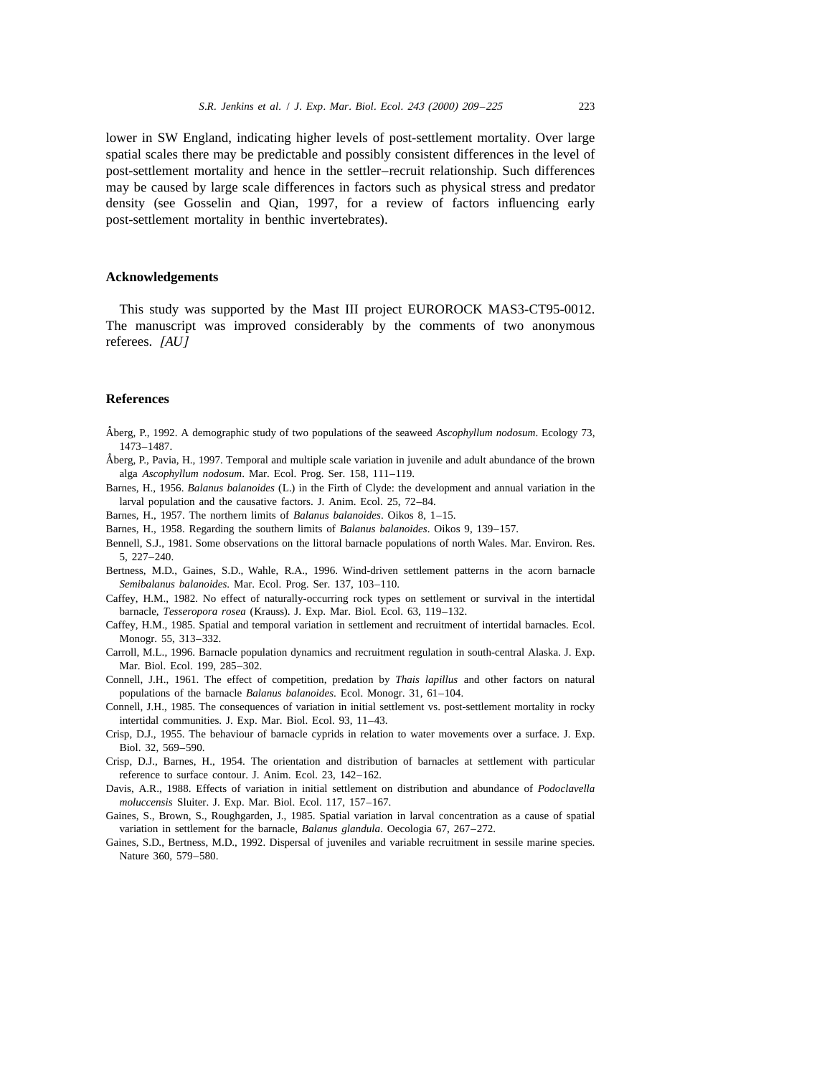lower in SW England, indicating higher levels of post-settlement mortality. Over large spatial scales there may be predictable and possibly consistent differences in the level of post-settlement mortality and hence in the settler–recruit relationship. Such differences may be caused by large scale differences in factors such as physical stress and predator density (see Gosselin and Qian, 1997, for a review of factors influencing early post-settlement mortality in benthic invertebrates).

## **Acknowledgements**

This study was supported by the Mast III project EUROROCK MAS3-CT95-0012. The manuscript was improved considerably by the comments of two anonymous referees. [*AU*]

## **References**

- Aberg, P., 1992. A demographic study of two populations of the seaweed *˚ Ascophyllum nodosum*. Ecology 73, 1473–1487.
- Aberg, P., Pavia, H., 1997. Temporal and multiple scale variation in juvenile and adult abundance of the brown *˚* alga *Ascophyllum nodosum*. Mar. Ecol. Prog. Ser. 158, 111–119.
- Barnes, H., 1956. *Balanus balanoides* (L.) in the Firth of Clyde: the development and annual variation in the larval population and the causative factors. J. Anim. Ecol. 25, 72–84.
- Barnes, H., 1957. The northern limits of *Balanus balanoides*. Oikos 8, 1–15.
- Barnes, H., 1958. Regarding the southern limits of *Balanus balanoides*. Oikos 9, 139–157.
- Bennell, S.J., 1981. Some observations on the littoral barnacle populations of north Wales. Mar. Environ. Res. 5, 227–240.
- Bertness, M.D., Gaines, S.D., Wahle, R.A., 1996. Wind-driven settlement patterns in the acorn barnacle *Semibalanus balanoides*. Mar. Ecol. Prog. Ser. 137, 103–110.
- Caffey, H.M., 1982. No effect of naturally-occurring rock types on settlement or survival in the intertidal barnacle, *Tesseropora rosea* (Krauss). J. Exp. Mar. Biol. Ecol. 63, 119–132.
- Caffey, H.M., 1985. Spatial and temporal variation in settlement and recruitment of intertidal barnacles. Ecol. Monogr. 55, 313–332.
- Carroll, M.L., 1996. Barnacle population dynamics and recruitment regulation in south-central Alaska. J. Exp. Mar. Biol. Ecol. 199, 285–302.
- Connell, J.H., 1961. The effect of competition, predation by *Thais lapillus* and other factors on natural populations of the barnacle *Balanus balanoides*. Ecol. Monogr. 31, 61–104.
- Connell, J.H., 1985. The consequences of variation in initial settlement vs. post-settlement mortality in rocky intertidal communities. J. Exp. Mar. Biol. Ecol. 93, 11–43.
- Crisp, D.J., 1955. The behaviour of barnacle cyprids in relation to water movements over a surface. J. Exp. Biol. 32, 569–590.
- Crisp, D.J., Barnes, H., 1954. The orientation and distribution of barnacles at settlement with particular reference to surface contour. J. Anim. Ecol. 23, 142–162.
- Davis, A.R., 1988. Effects of variation in initial settlement on distribution and abundance of *Podoclavella moluccensis* Sluiter. J. Exp. Mar. Biol. Ecol. 117, 157–167.
- Gaines, S., Brown, S., Roughgarden, J., 1985. Spatial variation in larval concentration as a cause of spatial variation in settlement for the barnacle, *Balanus glandula*. Oecologia 67, 267–272.
- Gaines, S.D., Bertness, M.D., 1992. Dispersal of juveniles and variable recruitment in sessile marine species. Nature 360, 579–580.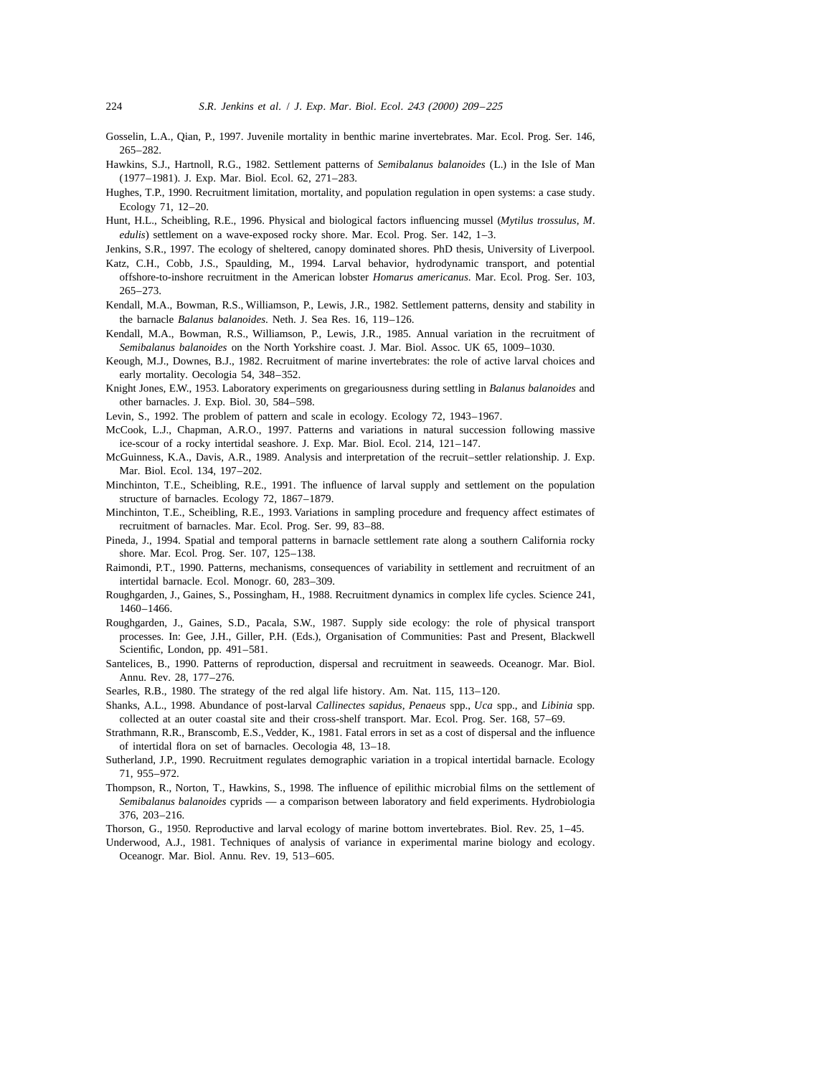- Gosselin, L.A., Qian, P., 1997. Juvenile mortality in benthic marine invertebrates. Mar. Ecol. Prog. Ser. 146, 265–282.
- Hawkins, S.J., Hartnoll, R.G., 1982. Settlement patterns of *Semibalanus balanoides* (L.) in the Isle of Man (1977–1981). J. Exp. Mar. Biol. Ecol. 62, 271–283.
- Hughes, T.P., 1990. Recruitment limitation, mortality, and population regulation in open systems: a case study. Ecology 71, 12–20.
- Hunt, H.L., Scheibling, R.E., 1996. Physical and biological factors influencing mussel (*Mytilus trossulus*, *M*. *edulis*) settlement on a wave-exposed rocky shore. Mar. Ecol. Prog. Ser. 142, 1–3.
- Jenkins, S.R., 1997. The ecology of sheltered, canopy dominated shores. PhD thesis, University of Liverpool.
- Katz, C.H., Cobb, J.S., Spaulding, M., 1994. Larval behavior, hydrodynamic transport, and potential offshore-to-inshore recruitment in the American lobster *Homarus americanus*. Mar. Ecol. Prog. Ser. 103, 265–273.
- Kendall, M.A., Bowman, R.S., Williamson, P., Lewis, J.R., 1982. Settlement patterns, density and stability in the barnacle *Balanus balanoides*. Neth. J. Sea Res. 16, 119–126.
- Kendall, M.A., Bowman, R.S., Williamson, P., Lewis, J.R., 1985. Annual variation in the recruitment of *Semibalanus balanoides* on the North Yorkshire coast. J. Mar. Biol. Assoc. UK 65, 1009–1030.
- Keough, M.J., Downes, B.J., 1982. Recruitment of marine invertebrates: the role of active larval choices and early mortality. Oecologia 54, 348–352.
- Knight Jones, E.W., 1953. Laboratory experiments on gregariousness during settling in *Balanus balanoides* and other barnacles. J. Exp. Biol. 30, 584–598.
- Levin, S., 1992. The problem of pattern and scale in ecology. Ecology 72, 1943–1967.
- McCook, L.J., Chapman, A.R.O., 1997. Patterns and variations in natural succession following massive ice-scour of a rocky intertidal seashore. J. Exp. Mar. Biol. Ecol. 214, 121–147.
- McGuinness, K.A., Davis, A.R., 1989. Analysis and interpretation of the recruit–settler relationship. J. Exp. Mar. Biol. Ecol. 134, 197–202.
- Minchinton, T.E., Scheibling, R.E., 1991. The influence of larval supply and settlement on the population structure of barnacles. Ecology 72, 1867–1879.
- Minchinton, T.E., Scheibling, R.E., 1993. Variations in sampling procedure and frequency affect estimates of recruitment of barnacles. Mar. Ecol. Prog. Ser. 99, 83–88.
- Pineda, J., 1994. Spatial and temporal patterns in barnacle settlement rate along a southern California rocky shore. Mar. Ecol. Prog. Ser. 107, 125–138.
- Raimondi, P.T., 1990. Patterns, mechanisms, consequences of variability in settlement and recruitment of an intertidal barnacle. Ecol. Monogr. 60, 283–309.
- Roughgarden, J., Gaines, S., Possingham, H., 1988. Recruitment dynamics in complex life cycles. Science 241, 1460–1466.
- Roughgarden, J., Gaines, S.D., Pacala, S.W., 1987. Supply side ecology: the role of physical transport processes. In: Gee, J.H., Giller, P.H. (Eds.), Organisation of Communities: Past and Present, Blackwell Scientific, London, pp. 491–581.
- Santelices, B., 1990. Patterns of reproduction, dispersal and recruitment in seaweeds. Oceanogr. Mar. Biol. Annu. Rev. 28, 177–276.
- Searles, R.B., 1980. The strategy of the red algal life history. Am. Nat. 115, 113–120.
- Shanks, A.L., 1998. Abundance of post-larval *Callinectes sapidus*, *Penaeus* spp., *Uca* spp., and *Libinia* spp. collected at an outer coastal site and their cross-shelf transport. Mar. Ecol. Prog. Ser. 168, 57–69.
- Strathmann, R.R., Branscomb, E.S.,Vedder, K., 1981. Fatal errors in set as a cost of dispersal and the influence of intertidal flora on set of barnacles. Oecologia 48, 13–18.
- Sutherland, J.P., 1990. Recruitment regulates demographic variation in a tropical intertidal barnacle. Ecology 71, 955–972.
- Thompson, R., Norton, T., Hawkins, S., 1998. The influence of epilithic microbial films on the settlement of *Semibalanus balanoides* cyprids — a comparison between laboratory and field experiments. Hydrobiologia 376, 203–216.
- Thorson, G., 1950. Reproductive and larval ecology of marine bottom invertebrates. Biol. Rev. 25, 1–45.
- Underwood, A.J., 1981. Techniques of analysis of variance in experimental marine biology and ecology. Oceanogr. Mar. Biol. Annu. Rev. 19, 513–605.